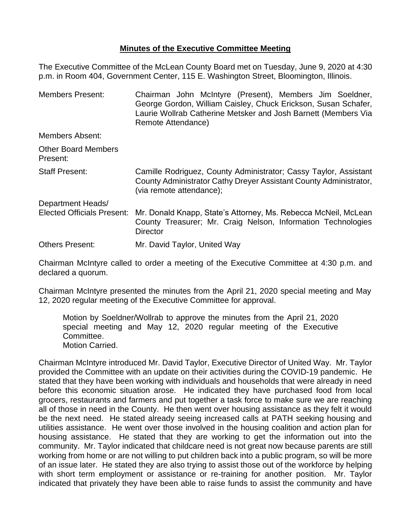## **Minutes of the Executive Committee Meeting**

The Executive Committee of the McLean County Board met on Tuesday, June 9, 2020 at 4:30 p.m. in Room 404, Government Center, 115 E. Washington Street, Bloomington, Illinois.

Members Present: Chairman John McIntyre (Present), Members Jim Soeldner, George Gordon, William Caisley, Chuck Erickson, Susan Schafer, Laurie Wollrab Catherine Metsker and Josh Barnett (Members Via Remote Attendance) Members Absent: Other Board Members Present: Staff Present: Camille Rodriguez, County Administrator; Cassy Taylor, Assistant County Administrator Cathy Dreyer Assistant County Administrator, (via remote attendance); Department Heads/ Elected Officials Present: Mr. Donald Knapp, State's Attorney, Ms. Rebecca McNeil, McLean County Treasurer; Mr. Craig Nelson, Information Technologies **Director** Others Present: Mr. David Taylor, United Way

Chairman McIntyre called to order a meeting of the Executive Committee at 4:30 p.m. and declared a quorum.

Chairman McIntyre presented the minutes from the April 21, 2020 special meeting and May 12, 2020 regular meeting of the Executive Committee for approval.

Motion by Soeldner/Wollrab to approve the minutes from the April 21, 2020 special meeting and May 12, 2020 regular meeting of the Executive Committee. Motion Carried.

Chairman McIntyre introduced Mr. David Taylor, Executive Director of United Way. Mr. Taylor provided the Committee with an update on their activities during the COVID-19 pandemic. He stated that they have been working with individuals and households that were already in need before this economic situation arose. He indicated they have purchased food from local grocers, restaurants and farmers and put together a task force to make sure we are reaching all of those in need in the County. He then went over housing assistance as they felt it would be the next need. He stated already seeing increased calls at PATH seeking housing and utilities assistance. He went over those involved in the housing coalition and action plan for housing assistance. He stated that they are working to get the information out into the community. Mr. Taylor indicated that childcare need is not great now because parents are still working from home or are not willing to put children back into a public program, so will be more of an issue later. He stated they are also trying to assist those out of the workforce by helping with short term employment or assistance or re-training for another position. Mr. Taylor indicated that privately they have been able to raise funds to assist the community and have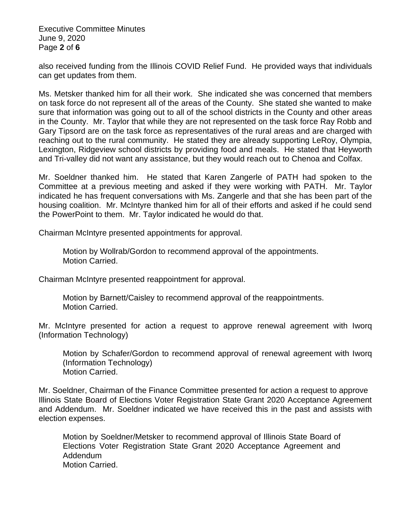Executive Committee Minutes June 9, 2020 Page **2** of **6**

also received funding from the Illinois COVID Relief Fund. He provided ways that individuals can get updates from them.

Ms. Metsker thanked him for all their work. She indicated she was concerned that members on task force do not represent all of the areas of the County. She stated she wanted to make sure that information was going out to all of the school districts in the County and other areas in the County. Mr. Taylor that while they are not represented on the task force Ray Robb and Gary Tipsord are on the task force as representatives of the rural areas and are charged with reaching out to the rural community. He stated they are already supporting LeRoy, Olympia, Lexington, Ridgeview school districts by providing food and meals. He stated that Heyworth and Tri-valley did not want any assistance, but they would reach out to Chenoa and Colfax.

Mr. Soeldner thanked him. He stated that Karen Zangerle of PATH had spoken to the Committee at a previous meeting and asked if they were working with PATH. Mr. Taylor indicated he has frequent conversations with Ms. Zangerle and that she has been part of the housing coalition. Mr. McIntyre thanked him for all of their efforts and asked if he could send the PowerPoint to them. Mr. Taylor indicated he would do that.

Chairman McIntyre presented appointments for approval.

Motion by Wollrab/Gordon to recommend approval of the appointments. Motion Carried.

Chairman McIntyre presented reappointment for approval.

Motion by Barnett/Caisley to recommend approval of the reappointments. Motion Carried.

Mr. McIntyre presented for action a request to approve renewal agreement with Iworq (Information Technology)

Motion by Schafer/Gordon to recommend approval of renewal agreement with Iworq (Information Technology) Motion Carried.

Mr. Soeldner, Chairman of the Finance Committee presented for action a request to approve Illinois State Board of Elections Voter Registration State Grant 2020 Acceptance Agreement and Addendum. Mr. Soeldner indicated we have received this in the past and assists with election expenses.

Motion by Soeldner/Metsker to recommend approval of Illinois State Board of Elections Voter Registration State Grant 2020 Acceptance Agreement and Addendum Motion Carried.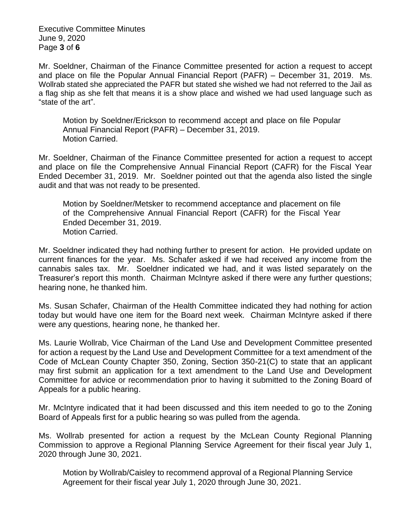Executive Committee Minutes June 9, 2020 Page **3** of **6**

Mr. Soeldner, Chairman of the Finance Committee presented for action a request to accept and place on file the Popular Annual Financial Report (PAFR) – December 31, 2019. Ms. Wollrab stated she appreciated the PAFR but stated she wished we had not referred to the Jail as a flag ship as she felt that means it is a show place and wished we had used language such as "state of the art".

Motion by Soeldner/Erickson to recommend accept and place on file Popular Annual Financial Report (PAFR) – December 31, 2019. Motion Carried.

Mr. Soeldner, Chairman of the Finance Committee presented for action a request to accept and place on file the Comprehensive Annual Financial Report (CAFR) for the Fiscal Year Ended December 31, 2019. Mr. Soeldner pointed out that the agenda also listed the single audit and that was not ready to be presented.

Motion by Soeldner/Metsker to recommend acceptance and placement on file of the Comprehensive Annual Financial Report (CAFR) for the Fiscal Year Ended December 31, 2019. Motion Carried.

Mr. Soeldner indicated they had nothing further to present for action. He provided update on current finances for the year. Ms. Schafer asked if we had received any income from the cannabis sales tax. Mr. Soeldner indicated we had, and it was listed separately on the Treasurer's report this month. Chairman McIntyre asked if there were any further questions; hearing none, he thanked him.

Ms. Susan Schafer, Chairman of the Health Committee indicated they had nothing for action today but would have one item for the Board next week. Chairman McIntyre asked if there were any questions, hearing none, he thanked her.

Ms. Laurie Wollrab, Vice Chairman of the Land Use and Development Committee presented for action a request by the Land Use and Development Committee for a text amendment of the Code of McLean County Chapter 350, Zoning, Section 350-21(C) to state that an applicant may first submit an application for a text amendment to the Land Use and Development Committee for advice or recommendation prior to having it submitted to the Zoning Board of Appeals for a public hearing.

Mr. McIntyre indicated that it had been discussed and this item needed to go to the Zoning Board of Appeals first for a public hearing so was pulled from the agenda.

Ms. Wollrab presented for action a request by the McLean County Regional Planning Commission to approve a Regional Planning Service Agreement for their fiscal year July 1, 2020 through June 30, 2021.

Motion by Wollrab/Caisley to recommend approval of a Regional Planning Service Agreement for their fiscal year July 1, 2020 through June 30, 2021.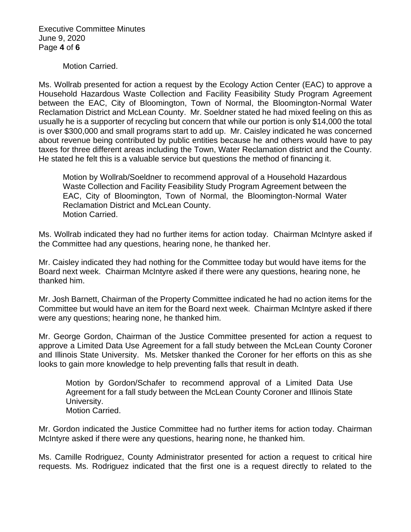Executive Committee Minutes June 9, 2020 Page **4** of **6**

Motion Carried.

Ms. Wollrab presented for action a request by the Ecology Action Center (EAC) to approve a Household Hazardous Waste Collection and Facility Feasibility Study Program Agreement between the EAC, City of Bloomington, Town of Normal, the Bloomington-Normal Water Reclamation District and McLean County. Mr. Soeldner stated he had mixed feeling on this as usually he is a supporter of recycling but concern that while our portion is only \$14,000 the total is over \$300,000 and small programs start to add up. Mr. Caisley indicated he was concerned about revenue being contributed by public entities because he and others would have to pay taxes for three different areas including the Town, Water Reclamation district and the County. He stated he felt this is a valuable service but questions the method of financing it.

Motion by Wollrab/Soeldner to recommend approval of a Household Hazardous Waste Collection and Facility Feasibility Study Program Agreement between the EAC, City of Bloomington, Town of Normal, the Bloomington-Normal Water Reclamation District and McLean County. Motion Carried.

Ms. Wollrab indicated they had no further items for action today. Chairman McIntyre asked if the Committee had any questions, hearing none, he thanked her.

Mr. Caisley indicated they had nothing for the Committee today but would have items for the Board next week. Chairman McIntyre asked if there were any questions, hearing none, he thanked him.

Mr. Josh Barnett, Chairman of the Property Committee indicated he had no action items for the Committee but would have an item for the Board next week. Chairman McIntyre asked if there were any questions; hearing none, he thanked him.

Mr. George Gordon, Chairman of the Justice Committee presented for action a request to approve a Limited Data Use Agreement for a fall study between the McLean County Coroner and Illinois State University. Ms. Metsker thanked the Coroner for her efforts on this as she looks to gain more knowledge to help preventing falls that result in death.

Motion by Gordon/Schafer to recommend approval of a Limited Data Use Agreement for a fall study between the McLean County Coroner and Illinois State University. Motion Carried.

Mr. Gordon indicated the Justice Committee had no further items for action today. Chairman McIntyre asked if there were any questions, hearing none, he thanked him.

Ms. Camille Rodriguez, County Administrator presented for action a request to critical hire requests. Ms. Rodriguez indicated that the first one is a request directly to related to the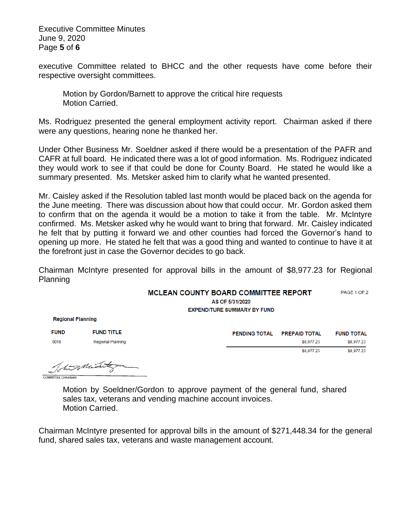Executive Committee Minutes June 9, 2020 Page **5** of **6**

executive Committee related to BHCC and the other requests have come before their respective oversight committees.

Motion by Gordon/Barnett to approve the critical hire requests Motion Carried.

Ms. Rodriguez presented the general employment activity report. Chairman asked if there were any questions, hearing none he thanked her.

Under Other Business Mr. Soeldner asked if there would be a presentation of the PAFR and CAFR at full board. He indicated there was a lot of good information. Ms. Rodriguez indicated they would work to see if that could be done for County Board. He stated he would like a summary presented. Ms. Metsker asked him to clarify what he wanted presented.

Mr. Caisley asked if the Resolution tabled last month would be placed back on the agenda for the June meeting. There was discussion about how that could occur. Mr. Gordon asked them to confirm that on the agenda it would be a motion to take it from the table. Mr. McIntyre confirmed. Ms. Metsker asked why he would want to bring that forward. Mr. Caisley indicated he felt that by putting it forward we and other counties had forced the Governor's hand to opening up more. He stated he felt that was a good thing and wanted to continue to have it at the forefront just in case the Governor decides to go back.

Chairman McIntyre presented for approval bills in the amount of \$8,977.23 for Regional Planning

| <b>MCLEAN COUNTY BOARD COMMITTEE REPORT</b> |  | PAGE 1 OF 2 |
|---------------------------------------------|--|-------------|
|---------------------------------------------|--|-------------|

AS OF 5/31/2020 **EXPENDITURE SUMMARY BY FUND** 

**Regional Planning** 

| <b>FUND</b> | <b>FUND TITLE</b>        |  |
|-------------|--------------------------|--|
| 0010        | <b>Regional Planning</b> |  |

| <b>PENDING TOTAL</b> | <b>PREPAID TOTAL</b> | <b>FUND TOTAL</b> |
|----------------------|----------------------|-------------------|
|                      | \$8,977.23           | \$8,977.23        |
|                      | \$8,977.23           | \$8,977.23        |
|                      |                      |                   |

The Minister

Motion by Soeldner/Gordon to approve payment of the general fund, shared sales tax, veterans and vending machine account invoices. Motion Carried.

Chairman McIntyre presented for approval bills in the amount of \$271,448.34 for the general fund, shared sales tax, veterans and waste management account.